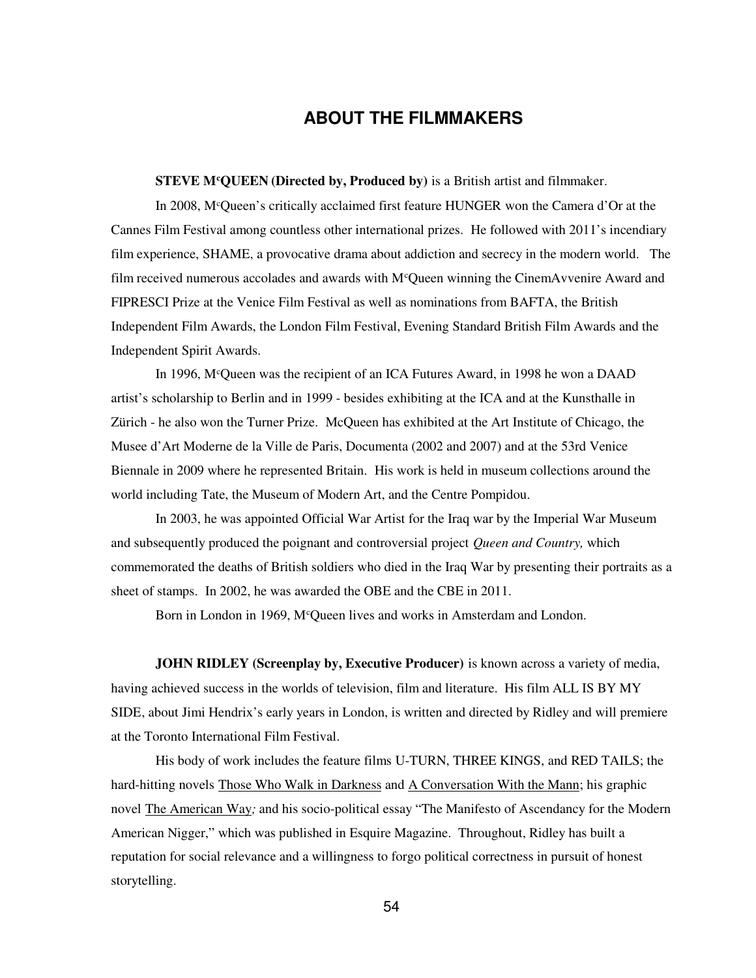## **ABOUT THE FILMMAKERS**

**STEVE M<sup>c</sup>QUEEN (Directed by, Produced by)** is a British artist and filmmaker.

In 2008, M<sup>c</sup>Queen's critically acclaimed first feature HUNGER won the Camera d'Or at the Cannes Film Festival among countless other international prizes. He followed with 2011's incendiary film experience, SHAME, a provocative drama about addiction and secrecy in the modern world. The film received numerous accolades and awards with McQueen winning the CinemAvvenire Award and FIPRESCI Prize at the Venice Film Festival as well as nominations from BAFTA, the British Independent Film Awards, the London Film Festival, Evening Standard British Film Awards and the Independent Spirit Awards.

In 1996, M<sup>c</sup>Queen was the recipient of an ICA Futures Award, in 1998 he won a DAAD artist's scholarship to Berlin and in 1999 - besides exhibiting at the ICA and at the Kunsthalle in Zürich - he also won the Turner Prize. McQueen has exhibited at the Art Institute of Chicago, the Musee d'Art Moderne de la Ville de Paris, Documenta (2002 and 2007) and at the 53rd Venice Biennale in 2009 where he represented Britain. His work is held in museum collections around the world including Tate, the Museum of Modern Art, and the Centre Pompidou.

In 2003, he was appointed Official War Artist for the Iraq war by the Imperial War Museum and subsequently produced the poignant and controversial project *Queen and Country,* which commemorated the deaths of British soldiers who died in the Iraq War by presenting their portraits as a sheet of stamps. In 2002, he was awarded the OBE and the CBE in 2011.

Born in London in 1969, M<sup>c</sup>Queen lives and works in Amsterdam and London.

**JOHN RIDLEY (Screenplay by, Executive Producer)** is known across a variety of media, having achieved success in the worlds of television, film and literature. His film ALL IS BY MY SIDE, about Jimi Hendrix's early years in London, is written and directed by Ridley and will premiere at the Toronto International Film Festival.

His body of work includes the feature films U-TURN, THREE KINGS, and RED TAILS; the hard-hitting novels Those Who Walk in Darkness and A Conversation With the Mann; his graphic novel The American Way*;* and his socio-political essay "The Manifesto of Ascendancy for the Modern American Nigger," which was published in Esquire Magazine. Throughout, Ridley has built a reputation for social relevance and a willingness to forgo political correctness in pursuit of honest storytelling.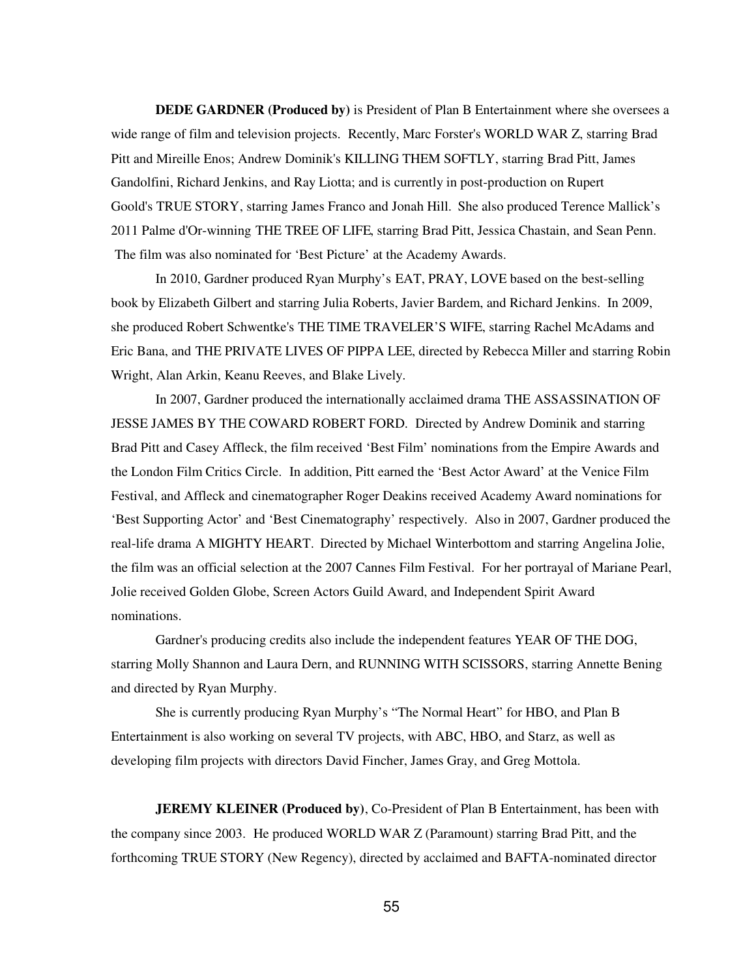**DEDE GARDNER (Produced by)** is President of Plan B Entertainment where she oversees a wide range of film and television projects. Recently, Marc Forster's WORLD WAR Z, starring Brad Pitt and Mireille Enos; Andrew Dominik's KILLING THEM SOFTLY, starring Brad Pitt, James Gandolfini, Richard Jenkins, and Ray Liotta; and is currently in post-production on Rupert Goold's TRUE STORY, starring James Franco and Jonah Hill. She also produced Terence Mallick's 2011 Palme d'Or-winning THE TREE OF LIFE, starring Brad Pitt, Jessica Chastain, and Sean Penn. The film was also nominated for 'Best Picture' at the Academy Awards.

In 2010, Gardner produced Ryan Murphy's EAT, PRAY, LOVE based on the best-selling book by Elizabeth Gilbert and starring Julia Roberts, Javier Bardem, and Richard Jenkins. In 2009, she produced Robert Schwentke's THE TIME TRAVELER'S WIFE, starring Rachel McAdams and Eric Bana, and THE PRIVATE LIVES OF PIPPA LEE, directed by Rebecca Miller and starring Robin Wright, Alan Arkin, Keanu Reeves, and Blake Lively.

In 2007, Gardner produced the internationally acclaimed drama THE ASSASSINATION OF JESSE JAMES BY THE COWARD ROBERT FORD. Directed by Andrew Dominik and starring Brad Pitt and Casey Affleck, the film received 'Best Film' nominations from the Empire Awards and the London Film Critics Circle. In addition, Pitt earned the 'Best Actor Award' at the Venice Film Festival, and Affleck and cinematographer Roger Deakins received Academy Award nominations for 'Best Supporting Actor' and 'Best Cinematography' respectively. Also in 2007, Gardner produced the real-life drama A MIGHTY HEART. Directed by Michael Winterbottom and starring Angelina Jolie, the film was an official selection at the 2007 Cannes Film Festival. For her portrayal of Mariane Pearl, Jolie received Golden Globe, Screen Actors Guild Award, and Independent Spirit Award nominations.

Gardner's producing credits also include the independent features YEAR OF THE DOG, starring Molly Shannon and Laura Dern, and RUNNING WITH SCISSORS, starring Annette Bening and directed by Ryan Murphy.

She is currently producing Ryan Murphy's "The Normal Heart" for HBO, and Plan B Entertainment is also working on several TV projects, with ABC, HBO, and Starz, as well as developing film projects with directors David Fincher, James Gray, and Greg Mottola.

**JEREMY KLEINER (Produced by)**, Co-President of Plan B Entertainment, has been with the company since 2003. He produced WORLD WAR Z (Paramount) starring Brad Pitt, and the forthcoming TRUE STORY (New Regency), directed by acclaimed and BAFTA-nominated director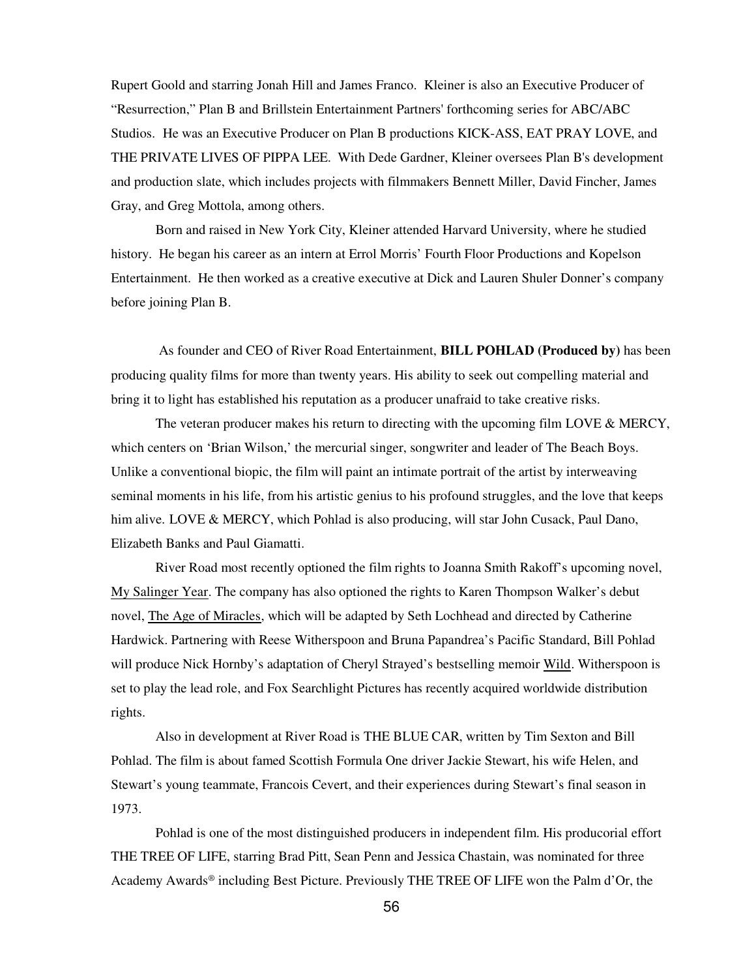Rupert Goold and starring Jonah Hill and James Franco. Kleiner is also an Executive Producer of "Resurrection," Plan B and Brillstein Entertainment Partners' forthcoming series for ABC/ABC Studios. He was an Executive Producer on Plan B productions KICK-ASS, EAT PRAY LOVE, and THE PRIVATE LIVES OF PIPPA LEE. With Dede Gardner, Kleiner oversees Plan B's development and production slate, which includes projects with filmmakers Bennett Miller, David Fincher, James Gray, and Greg Mottola, among others.

Born and raised in New York City, Kleiner attended Harvard University, where he studied history. He began his career as an intern at Errol Morris' Fourth Floor Productions and Kopelson Entertainment. He then worked as a creative executive at Dick and Lauren Shuler Donner's company before joining Plan B.

 As founder and CEO of River Road Entertainment, **BILL POHLAD (Produced by)** has been producing quality films for more than twenty years. His ability to seek out compelling material and bring it to light has established his reputation as a producer unafraid to take creative risks.

The veteran producer makes his return to directing with the upcoming film LOVE & MERCY, which centers on 'Brian Wilson,' the mercurial singer, songwriter and leader of The Beach Boys. Unlike a conventional biopic, the film will paint an intimate portrait of the artist by interweaving seminal moments in his life, from his artistic genius to his profound struggles, and the love that keeps him alive. LOVE & MERCY, which Pohlad is also producing, will star John Cusack, Paul Dano, Elizabeth Banks and Paul Giamatti.

River Road most recently optioned the film rights to Joanna Smith Rakoff's upcoming novel, My Salinger Year. The company has also optioned the rights to Karen Thompson Walker's debut novel, The Age of Miracles, which will be adapted by Seth Lochhead and directed by Catherine Hardwick. Partnering with Reese Witherspoon and Bruna Papandrea's Pacific Standard, Bill Pohlad will produce Nick Hornby's adaptation of Cheryl Strayed's bestselling memoir Wild. Witherspoon is set to play the lead role, and Fox Searchlight Pictures has recently acquired worldwide distribution rights.

Also in development at River Road is THE BLUE CAR, written by Tim Sexton and Bill Pohlad. The film is about famed Scottish Formula One driver Jackie Stewart, his wife Helen, and Stewart's young teammate, Francois Cevert, and their experiences during Stewart's final season in 1973.

Pohlad is one of the most distinguished producers in independent film. His producorial effort THE TREE OF LIFE, starring Brad Pitt, Sean Penn and Jessica Chastain, was nominated for three Academy Awards® including Best Picture. Previously THE TREE OF LIFE won the Palm d'Or, the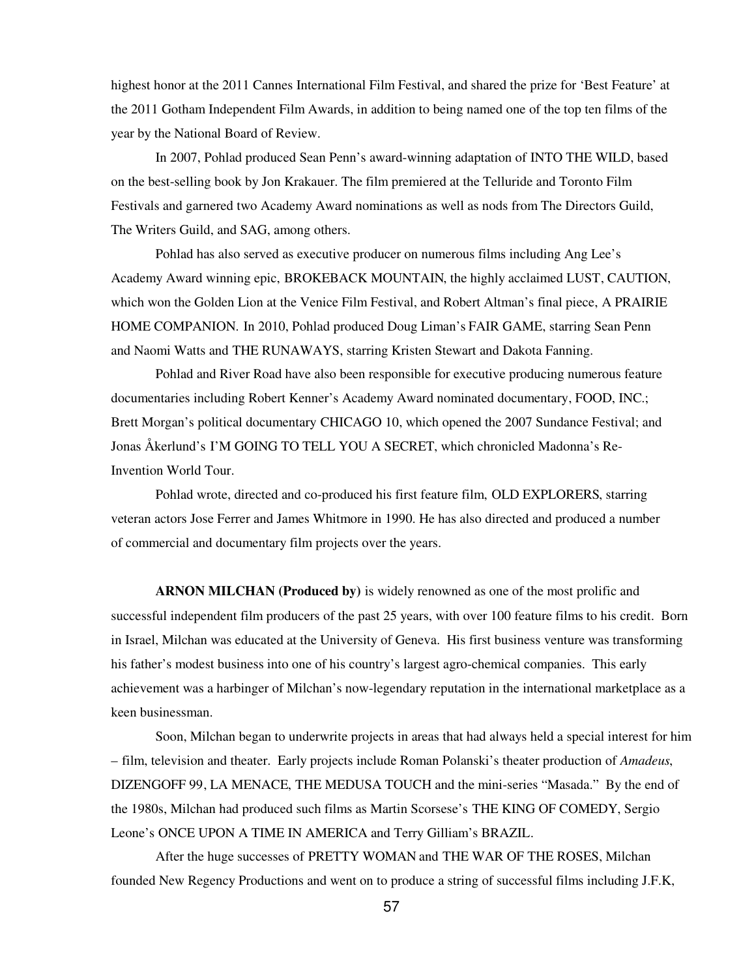highest honor at the 2011 Cannes International Film Festival, and shared the prize for 'Best Feature' at the 2011 Gotham Independent Film Awards, in addition to being named one of the top ten films of the year by the National Board of Review.

In 2007, Pohlad produced Sean Penn's award-winning adaptation of INTO THE WILD, based on the best-selling book by Jon Krakauer. The film premiered at the Telluride and Toronto Film Festivals and garnered two Academy Award nominations as well as nods from The Directors Guild, The Writers Guild, and SAG, among others.

Pohlad has also served as executive producer on numerous films including Ang Lee's Academy Award winning epic, BROKEBACK MOUNTAIN, the highly acclaimed LUST, CAUTION, which won the Golden Lion at the Venice Film Festival, and Robert Altman's final piece, A PRAIRIE HOME COMPANION*.* In 2010, Pohlad produced Doug Liman's FAIR GAME, starring Sean Penn and Naomi Watts and THE RUNAWAYS, starring Kristen Stewart and Dakota Fanning.

Pohlad and River Road have also been responsible for executive producing numerous feature documentaries including Robert Kenner's Academy Award nominated documentary, FOOD, INC.; Brett Morgan's political documentary CHICAGO 10, which opened the 2007 Sundance Festival; and Jonas Åkerlund's I'M GOING TO TELL YOU A SECRET, which chronicled Madonna's Re-Invention World Tour.

Pohlad wrote, directed and co-produced his first feature film, OLD EXPLORERS, starring veteran actors Jose Ferrer and James Whitmore in 1990. He has also directed and produced a number of commercial and documentary film projects over the years.

**ARNON MILCHAN (Produced by)** is widely renowned as one of the most prolific and successful independent film producers of the past 25 years, with over 100 feature films to his credit. Born in Israel, Milchan was educated at the University of Geneva. His first business venture was transforming his father's modest business into one of his country's largest agro-chemical companies. This early achievement was a harbinger of Milchan's now-legendary reputation in the international marketplace as a keen businessman.

Soon, Milchan began to underwrite projects in areas that had always held a special interest for him – film, television and theater. Early projects include Roman Polanski's theater production of *Amadeus*, DIZENGOFF 99, LA MENACE, THE MEDUSA TOUCH and the mini-series "Masada." By the end of the 1980s, Milchan had produced such films as Martin Scorsese's THE KING OF COMEDY, Sergio Leone's ONCE UPON A TIME IN AMERICA and Terry Gilliam's BRAZIL.

After the huge successes of PRETTY WOMAN and THE WAR OF THE ROSES, Milchan founded New Regency Productions and went on to produce a string of successful films including J.F.K,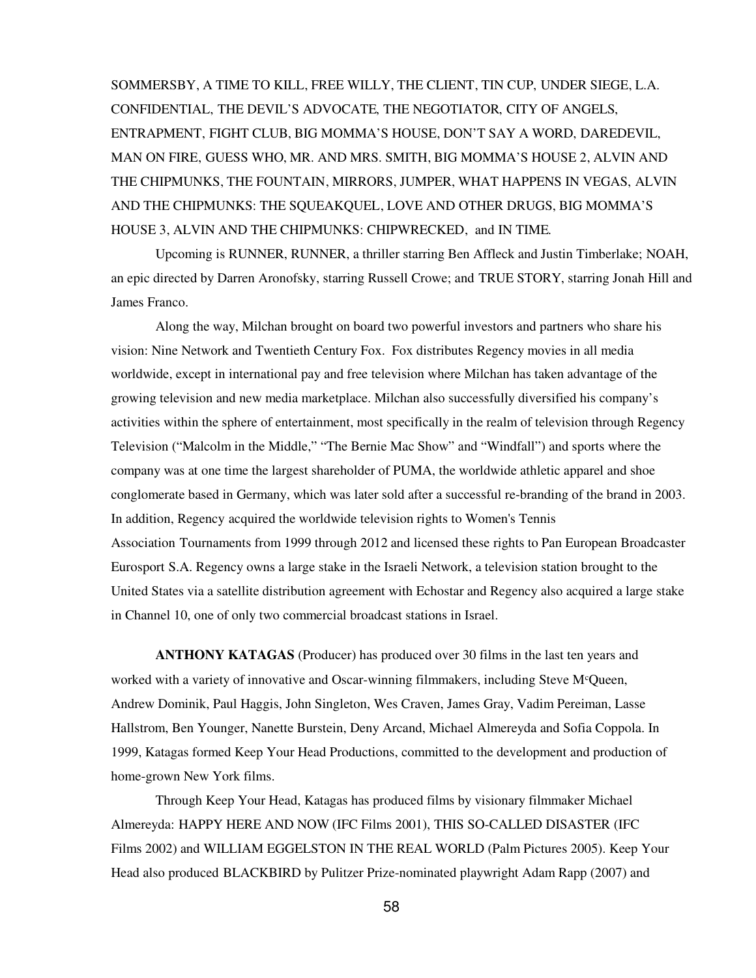SOMMERSBY, A TIME TO KILL, FREE WILLY, THE CLIENT, TIN CUP, UNDER SIEGE, L.A. CONFIDENTIAL, THE DEVIL'S ADVOCATE, THE NEGOTIATOR, CITY OF ANGELS, ENTRAPMENT, FIGHT CLUB, BIG MOMMA'S HOUSE, DON'T SAY A WORD, DAREDEVIL, MAN ON FIRE, GUESS WHO, MR. AND MRS. SMITH, BIG MOMMA'S HOUSE 2, ALVIN AND THE CHIPMUNKS, THE FOUNTAIN, MIRRORS, JUMPER, WHAT HAPPENS IN VEGAS, ALVIN AND THE CHIPMUNKS: THE SQUEAKQUEL, LOVE AND OTHER DRUGS, BIG MOMMA'S HOUSE 3, ALVIN AND THE CHIPMUNKS: CHIPWRECKED, and IN TIME.

Upcoming is RUNNER, RUNNER, a thriller starring Ben Affleck and Justin Timberlake; NOAH, an epic directed by Darren Aronofsky, starring Russell Crowe; and TRUE STORY, starring Jonah Hill and James Franco.

Along the way, Milchan brought on board two powerful investors and partners who share his vision: Nine Network and Twentieth Century Fox. Fox distributes Regency movies in all media worldwide, except in international pay and free television where Milchan has taken advantage of the growing television and new media marketplace. Milchan also successfully diversified his company's activities within the sphere of entertainment, most specifically in the realm of television through Regency Television ("Malcolm in the Middle," "The Bernie Mac Show" and "Windfall") and sports where the company was at one time the largest shareholder of PUMA, the worldwide athletic apparel and shoe conglomerate based in Germany, which was later sold after a successful re-branding of the brand in 2003. In addition, Regency acquired the worldwide television rights to Women's Tennis Association Tournaments from 1999 through 2012 and licensed these rights to Pan European Broadcaster Eurosport S.A. Regency owns a large stake in the Israeli Network, a television station brought to the United States via a satellite distribution agreement with Echostar and Regency also acquired a large stake in Channel 10, one of only two commercial broadcast stations in Israel.

**ANTHONY KATAGAS** (Producer) has produced over 30 films in the last ten years and worked with a variety of innovative and Oscar-winning filmmakers, including Steve M<sup>c</sup>Queen, Andrew Dominik, Paul Haggis, John Singleton, Wes Craven, James Gray, Vadim Pereiman, Lasse Hallstrom, Ben Younger, Nanette Burstein, Deny Arcand, Michael Almereyda and Sofia Coppola. In 1999, Katagas formed Keep Your Head Productions, committed to the development and production of home-grown New York films.

Through Keep Your Head, Katagas has produced films by visionary filmmaker Michael Almereyda: HAPPY HERE AND NOW (IFC Films 2001), THIS SO-CALLED DISASTER (IFC Films 2002) and WILLIAM EGGELSTON IN THE REAL WORLD (Palm Pictures 2005). Keep Your Head also produced BLACKBIRD by Pulitzer Prize-nominated playwright Adam Rapp (2007) and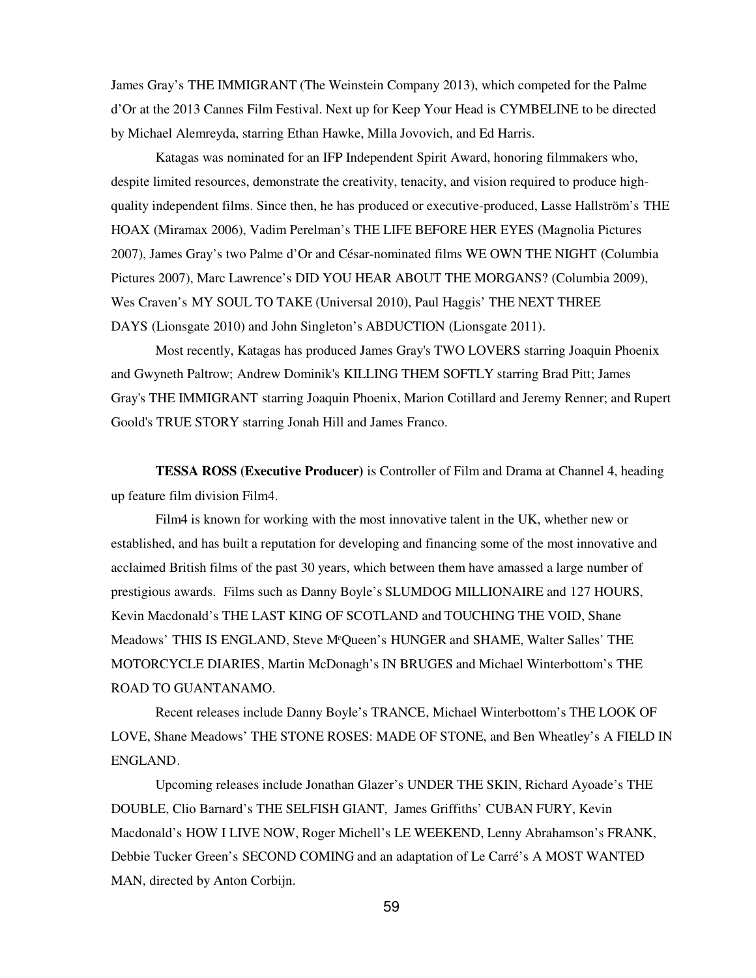James Gray's THE IMMIGRANT (The Weinstein Company 2013), which competed for the Palme d'Or at the 2013 Cannes Film Festival. Next up for Keep Your Head is CYMBELINE to be directed by Michael Alemreyda, starring Ethan Hawke, Milla Jovovich, and Ed Harris.

Katagas was nominated for an IFP Independent Spirit Award, honoring filmmakers who, despite limited resources, demonstrate the creativity, tenacity, and vision required to produce highquality independent films. Since then, he has produced or executive-produced, Lasse Hallström's THE HOAX (Miramax 2006), Vadim Perelman's THE LIFE BEFORE HER EYES (Magnolia Pictures 2007), James Gray's two Palme d'Or and César-nominated films WE OWN THE NIGHT (Columbia Pictures 2007), Marc Lawrence's DID YOU HEAR ABOUT THE MORGANS? (Columbia 2009), Wes Craven's MY SOUL TO TAKE (Universal 2010), Paul Haggis' THE NEXT THREE DAYS (Lionsgate 2010) and John Singleton's ABDUCTION (Lionsgate 2011).

Most recently, Katagas has produced James Gray's TWO LOVERS starring Joaquin Phoenix and Gwyneth Paltrow; Andrew Dominik's KILLING THEM SOFTLY starring Brad Pitt; James Gray's THE IMMIGRANT starring Joaquin Phoenix, Marion Cotillard and Jeremy Renner; and Rupert Goold's TRUE STORY starring Jonah Hill and James Franco.

**TESSA ROSS (Executive Producer)** is Controller of Film and Drama at Channel 4, heading up feature film division Film4.

Film4 is known for working with the most innovative talent in the UK, whether new or established, and has built a reputation for developing and financing some of the most innovative and acclaimed British films of the past 30 years, which between them have amassed a large number of prestigious awards. Films such as Danny Boyle's SLUMDOG MILLIONAIRE and 127 HOURS, Kevin Macdonald's THE LAST KING OF SCOTLAND and TOUCHING THE VOID, Shane Meadows' THIS IS ENGLAND, Steve M<sup>c</sup>Queen's HUNGER and SHAME, Walter Salles' THE MOTORCYCLE DIARIES, Martin McDonagh's IN BRUGES and Michael Winterbottom's THE ROAD TO GUANTANAMO.

Recent releases include Danny Boyle's TRANCE, Michael Winterbottom's THE LOOK OF LOVE, Shane Meadows' THE STONE ROSES: MADE OF STONE, and Ben Wheatley's A FIELD IN ENGLAND.

Upcoming releases include Jonathan Glazer's UNDER THE SKIN, Richard Ayoade's THE DOUBLE, Clio Barnard's THE SELFISH GIANT, James Griffiths' CUBAN FURY, Kevin Macdonald's HOW I LIVE NOW, Roger Michell's LE WEEKEND, Lenny Abrahamson's FRANK, Debbie Tucker Green's SECOND COMING and an adaptation of Le Carré's A MOST WANTED MAN, directed by Anton Corbijn.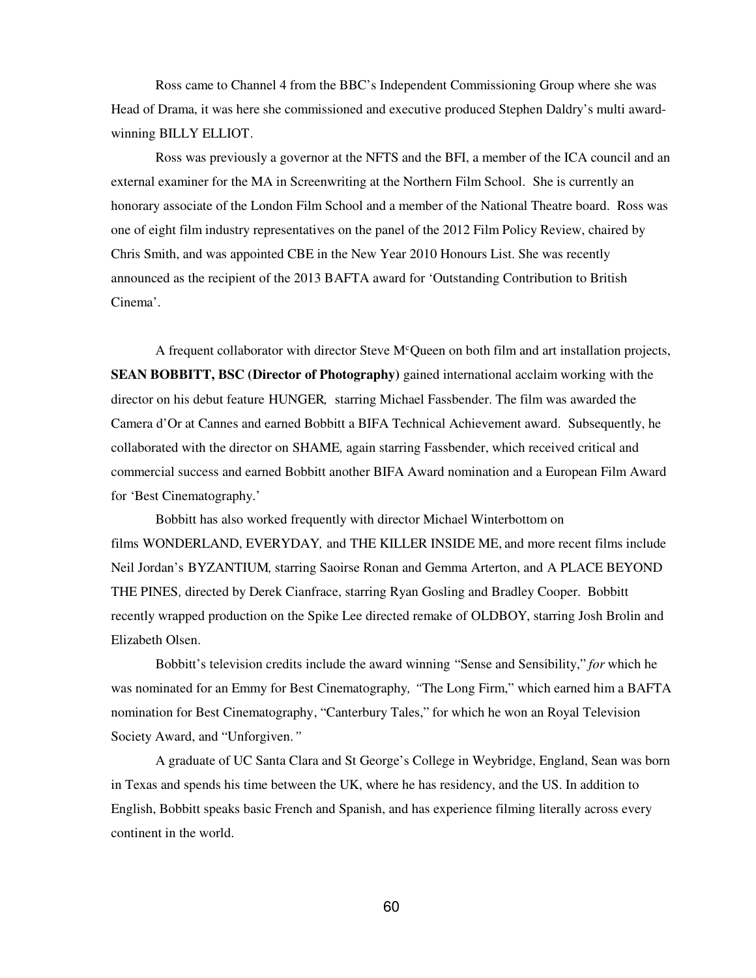Ross came to Channel 4 from the BBC's Independent Commissioning Group where she was Head of Drama, it was here she commissioned and executive produced Stephen Daldry's multi awardwinning BILLY ELLIOT.

Ross was previously a governor at the NFTS and the BFI, a member of the ICA council and an external examiner for the MA in Screenwriting at the Northern Film School. She is currently an honorary associate of the London Film School and a member of the National Theatre board. Ross was one of eight film industry representatives on the panel of the 2012 Film Policy Review, chaired by Chris Smith, and was appointed CBE in the New Year 2010 Honours List. She was recently announced as the recipient of the 2013 BAFTA award for 'Outstanding Contribution to British Cinema'.

A frequent collaborator with director Steve  $M<sup>c</sup>$ Queen on both film and art installation projects, **SEAN BOBBITT, BSC (Director of Photography)** gained international acclaim working with the director on his debut feature HUNGER*,* starring Michael Fassbender. The film was awarded the Camera d'Or at Cannes and earned Bobbitt a BIFA Technical Achievement award. Subsequently, he collaborated with the director on SHAME*,* again starring Fassbender, which received critical and commercial success and earned Bobbitt another BIFA Award nomination and a European Film Award for 'Best Cinematography.'

Bobbitt has also worked frequently with director Michael Winterbottom on films WONDERLAND, EVERYDAY*,* and THE KILLER INSIDE ME, and more recent films include Neil Jordan's BYZANTIUM*,* starring Saoirse Ronan and Gemma Arterton, and A PLACE BEYOND THE PINES*,* directed by Derek Cianfrace, starring Ryan Gosling and Bradley Cooper. Bobbitt recently wrapped production on the Spike Lee directed remake of OLDBOY, starring Josh Brolin and Elizabeth Olsen.

Bobbitt's television credits include the award winning "Sense and Sensibility," *for* which he was nominated for an Emmy for Best Cinematography*, "*The Long Firm," which earned him a BAFTA nomination for Best Cinematography, "Canterbury Tales," for which he won an Royal Television Society Award, and "Unforgiven*."*

A graduate of UC Santa Clara and St George's College in Weybridge, England, Sean was born in Texas and spends his time between the UK, where he has residency, and the US. In addition to English, Bobbitt speaks basic French and Spanish, and has experience filming literally across every continent in the world.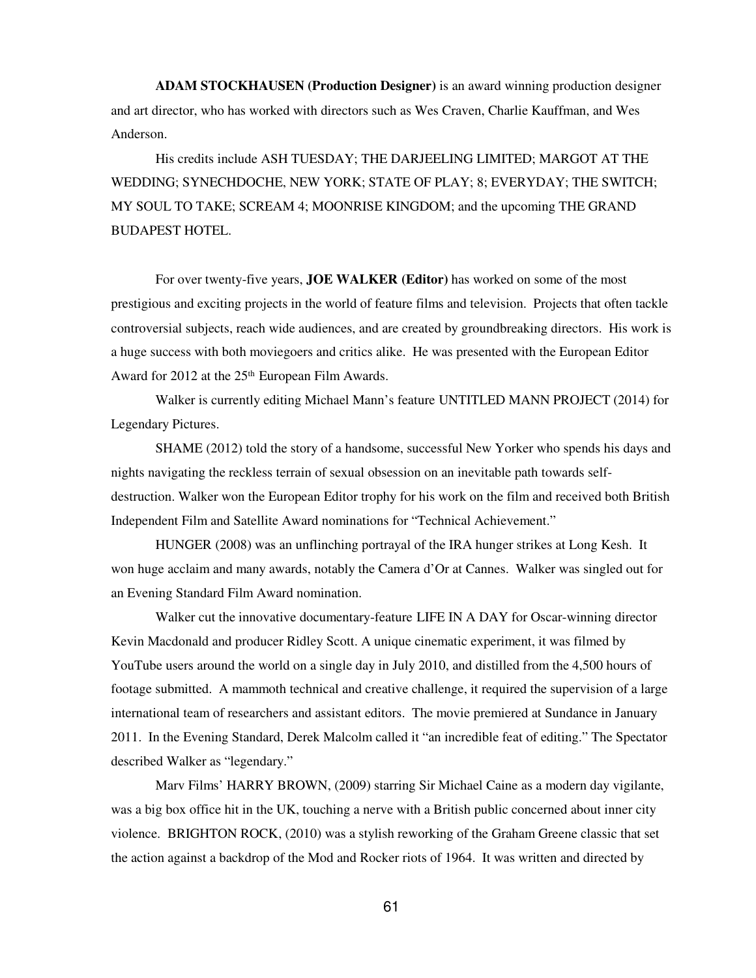**ADAM STOCKHAUSEN (Production Designer)** is an award winning production designer and art director, who has worked with directors such as Wes Craven, Charlie Kauffman, and Wes Anderson.

His credits include ASH TUESDAY; THE DARJEELING LIMITED; MARGOT AT THE WEDDING; SYNECHDOCHE, NEW YORK; STATE OF PLAY; 8; EVERYDAY; THE SWITCH; MY SOUL TO TAKE; SCREAM 4; MOONRISE KINGDOM; and the upcoming THE GRAND BUDAPEST HOTEL.

For over twenty-five years, **JOE WALKER (Editor)** has worked on some of the most prestigious and exciting projects in the world of feature films and television. Projects that often tackle controversial subjects, reach wide audiences, and are created by groundbreaking directors. His work is a huge success with both moviegoers and critics alike. He was presented with the European Editor Award for 2012 at the 25<sup>th</sup> European Film Awards.

Walker is currently editing Michael Mann's feature UNTITLED MANN PROJECT (2014) for Legendary Pictures.

SHAME (2012) told the story of a handsome, successful New Yorker who spends his days and nights navigating the reckless terrain of sexual obsession on an inevitable path towards selfdestruction. Walker won the European Editor trophy for his work on the film and received both British Independent Film and Satellite Award nominations for "Technical Achievement."

HUNGER (2008) was an unflinching portrayal of the IRA hunger strikes at Long Kesh. It won huge acclaim and many awards, notably the Camera d'Or at Cannes. Walker was singled out for an Evening Standard Film Award nomination.

Walker cut the innovative documentary-feature LIFE IN A DAY for Oscar-winning director Kevin Macdonald and producer Ridley Scott. A unique cinematic experiment, it was filmed by YouTube users around the world on a single day in July 2010, and distilled from the 4,500 hours of footage submitted. A mammoth technical and creative challenge, it required the supervision of a large international team of researchers and assistant editors. The movie premiered at Sundance in January 2011. In the Evening Standard, Derek Malcolm called it "an incredible feat of editing." The Spectator described Walker as "legendary."

Marv Films' HARRY BROWN, (2009) starring Sir Michael Caine as a modern day vigilante, was a big box office hit in the UK, touching a nerve with a British public concerned about inner city violence. BRIGHTON ROCK, (2010) was a stylish reworking of the Graham Greene classic that set the action against a backdrop of the Mod and Rocker riots of 1964. It was written and directed by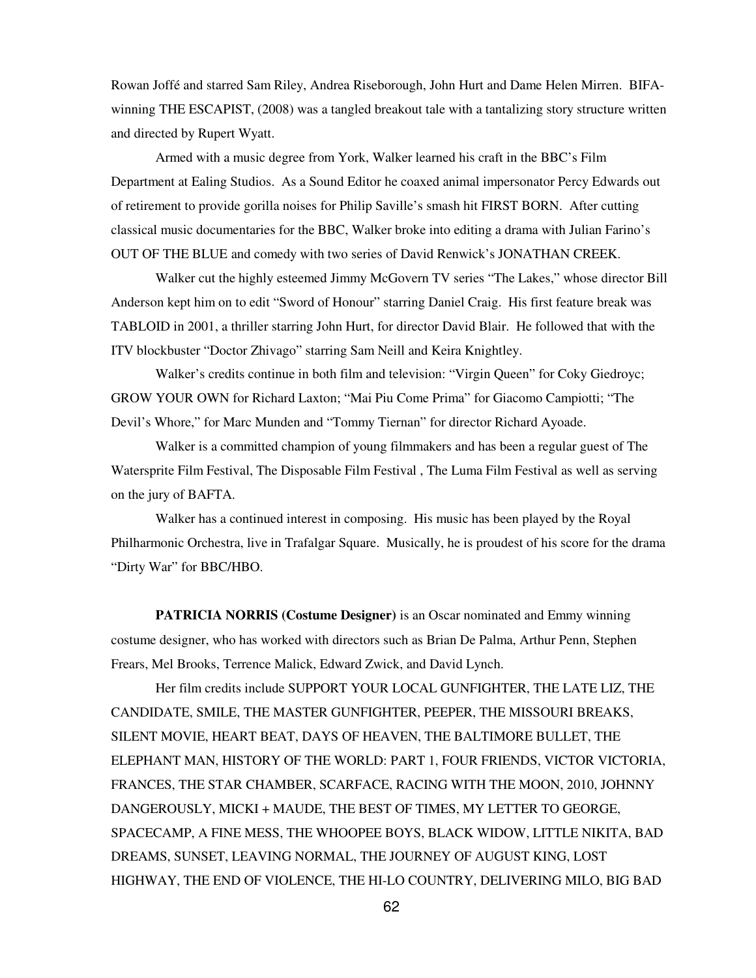Rowan Joffé and starred Sam Riley, Andrea Riseborough, John Hurt and Dame Helen Mirren. BIFAwinning THE ESCAPIST, (2008) was a tangled breakout tale with a tantalizing story structure written and directed by Rupert Wyatt.

Armed with a music degree from York, Walker learned his craft in the BBC's Film Department at Ealing Studios. As a Sound Editor he coaxed animal impersonator Percy Edwards out of retirement to provide gorilla noises for Philip Saville's smash hit FIRST BORN. After cutting classical music documentaries for the BBC, Walker broke into editing a drama with Julian Farino's OUT OF THE BLUE and comedy with two series of David Renwick's JONATHAN CREEK.

Walker cut the highly esteemed Jimmy McGovern TV series "The Lakes," whose director Bill Anderson kept him on to edit "Sword of Honour" starring Daniel Craig. His first feature break was TABLOID in 2001, a thriller starring John Hurt, for director David Blair. He followed that with the ITV blockbuster "Doctor Zhivago" starring Sam Neill and Keira Knightley.

Walker's credits continue in both film and television: "Virgin Queen" for Coky Giedroyc; GROW YOUR OWN for Richard Laxton; "Mai Piu Come Prima" for Giacomo Campiotti; "The Devil's Whore," for Marc Munden and "Tommy Tiernan" for director Richard Ayoade.

Walker is a committed champion of young filmmakers and has been a regular guest of The Watersprite Film Festival, The Disposable Film Festival , The Luma Film Festival as well as serving on the jury of BAFTA.

Walker has a continued interest in composing. His music has been played by the Royal Philharmonic Orchestra, live in Trafalgar Square. Musically, he is proudest of his score for the drama "Dirty War" for BBC/HBO.

**PATRICIA NORRIS (Costume Designer)** is an Oscar nominated and Emmy winning costume designer, who has worked with directors such as Brian De Palma, Arthur Penn, Stephen Frears, Mel Brooks, Terrence Malick, Edward Zwick, and David Lynch.

Her film credits include SUPPORT YOUR LOCAL GUNFIGHTER, THE LATE LIZ, THE CANDIDATE, SMILE, THE MASTER GUNFIGHTER, PEEPER, THE MISSOURI BREAKS, SILENT MOVIE, HEART BEAT, DAYS OF HEAVEN, THE BALTIMORE BULLET, THE ELEPHANT MAN, HISTORY OF THE WORLD: PART 1, FOUR FRIENDS, VICTOR VICTORIA, FRANCES, THE STAR CHAMBER, SCARFACE, RACING WITH THE MOON, 2010, JOHNNY DANGEROUSLY, MICKI + MAUDE, THE BEST OF TIMES, MY LETTER TO GEORGE, SPACECAMP, A FINE MESS, THE WHOOPEE BOYS, BLACK WIDOW, LITTLE NIKITA, BAD DREAMS, SUNSET, LEAVING NORMAL, THE JOURNEY OF AUGUST KING, LOST HIGHWAY, THE END OF VIOLENCE, THE HI-LO COUNTRY, DELIVERING MILO, BIG BAD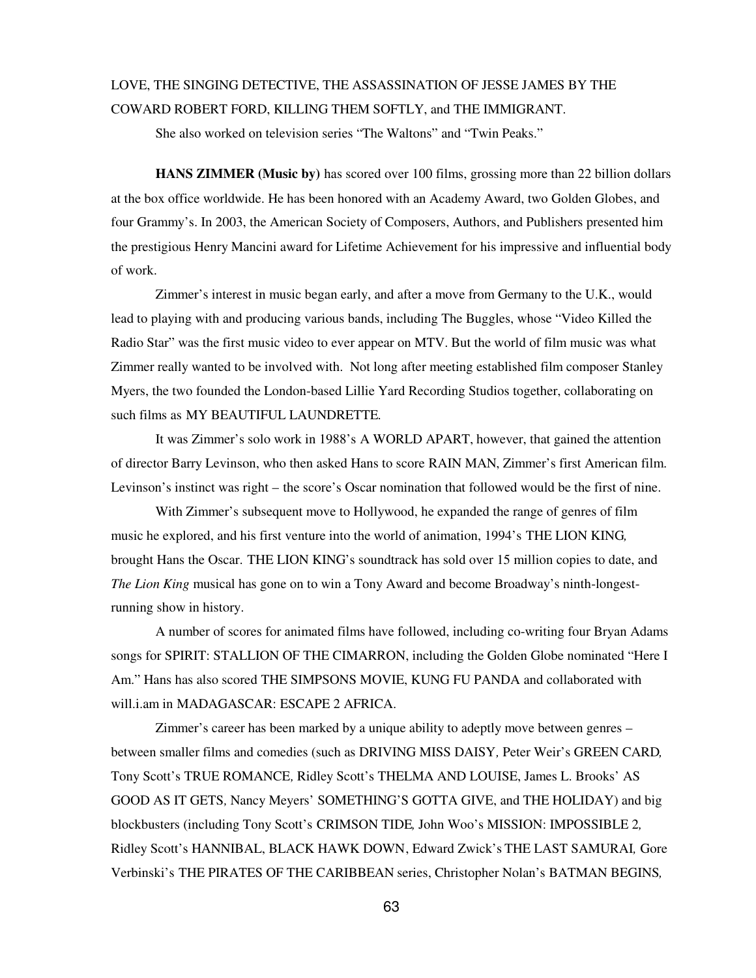## LOVE, THE SINGING DETECTIVE, THE ASSASSINATION OF JESSE JAMES BY THE COWARD ROBERT FORD, KILLING THEM SOFTLY, and THE IMMIGRANT.

She also worked on television series "The Waltons" and "Twin Peaks."

**HANS ZIMMER (Music by)** has scored over 100 films, grossing more than 22 billion dollars at the box office worldwide. He has been honored with an Academy Award, two Golden Globes, and four Grammy's. In 2003, the American Society of Composers, Authors, and Publishers presented him the prestigious Henry Mancini award for Lifetime Achievement for his impressive and influential body of work.

Zimmer's interest in music began early, and after a move from Germany to the U.K., would lead to playing with and producing various bands, including The Buggles, whose "Video Killed the Radio Star" was the first music video to ever appear on MTV. But the world of film music was what Zimmer really wanted to be involved with. Not long after meeting established film composer Stanley Myers, the two founded the London-based Lillie Yard Recording Studios together, collaborating on such films as MY BEAUTIFUL LAUNDRETTE.

It was Zimmer's solo work in 1988's A WORLD APART, however, that gained the attention of director Barry Levinson, who then asked Hans to score RAIN MAN, Zimmer's first American film. Levinson's instinct was right – the score's Oscar nomination that followed would be the first of nine.

With Zimmer's subsequent move to Hollywood, he expanded the range of genres of film music he explored, and his first venture into the world of animation, 1994's THE LION KING*,* brought Hans the Oscar. THE LION KING's soundtrack has sold over 15 million copies to date, and *The Lion King* musical has gone on to win a Tony Award and become Broadway's ninth-longestrunning show in history.

A number of scores for animated films have followed, including co-writing four Bryan Adams songs for SPIRIT: STALLION OF THE CIMARRON, including the Golden Globe nominated "Here I Am." Hans has also scored THE SIMPSONS MOVIE, KUNG FU PANDA and collaborated with will.i.am in MADAGASCAR: ESCAPE 2 AFRICA.

Zimmer's career has been marked by a unique ability to adeptly move between genres – between smaller films and comedies (such as DRIVING MISS DAISY*,* Peter Weir's GREEN CARD*,*  Tony Scott's TRUE ROMANCE*,* Ridley Scott's THELMA AND LOUISE, James L. Brooks' AS GOOD AS IT GETS*,* Nancy Meyers' SOMETHING'S GOTTA GIVE, and THE HOLIDAY) and big blockbusters (including Tony Scott's CRIMSON TIDE*,* John Woo's MISSION: IMPOSSIBLE 2*,*  Ridley Scott's HANNIBAL, BLACK HAWK DOWN, Edward Zwick's THE LAST SAMURAI*,* Gore Verbinski's THE PIRATES OF THE CARIBBEAN series, Christopher Nolan's BATMAN BEGINS*,*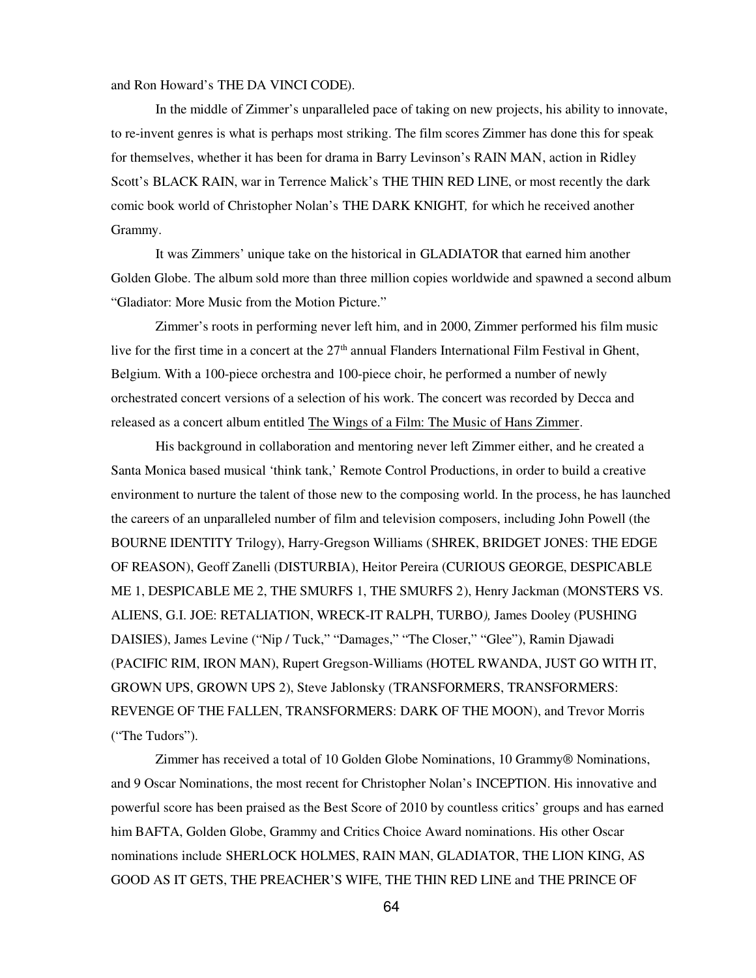and Ron Howard's THE DA VINCI CODE).

In the middle of Zimmer's unparalleled pace of taking on new projects, his ability to innovate, to re-invent genres is what is perhaps most striking. The film scores Zimmer has done this for speak for themselves, whether it has been for drama in Barry Levinson's RAIN MAN, action in Ridley Scott's BLACK RAIN, war in Terrence Malick's THE THIN RED LINE, or most recently the dark comic book world of Christopher Nolan's THE DARK KNIGHT*,* for which he received another Grammy.

It was Zimmers' unique take on the historical in GLADIATOR that earned him another Golden Globe. The album sold more than three million copies worldwide and spawned a second album "Gladiator: More Music from the Motion Picture."

Zimmer's roots in performing never left him, and in 2000, Zimmer performed his film music live for the first time in a concert at the  $27<sup>th</sup>$  annual Flanders International Film Festival in Ghent, Belgium. With a 100-piece orchestra and 100-piece choir, he performed a number of newly orchestrated concert versions of a selection of his work. The concert was recorded by Decca and released as a concert album entitled The Wings of a Film: The Music of Hans Zimmer.

His background in collaboration and mentoring never left Zimmer either, and he created a Santa Monica based musical 'think tank,' Remote Control Productions, in order to build a creative environment to nurture the talent of those new to the composing world. In the process, he has launched the careers of an unparalleled number of film and television composers, including John Powell (the BOURNE IDENTITY Trilogy), Harry-Gregson Williams (SHREK, BRIDGET JONES: THE EDGE OF REASON), Geoff Zanelli (DISTURBIA), Heitor Pereira (CURIOUS GEORGE, DESPICABLE ME 1, DESPICABLE ME 2, THE SMURFS 1, THE SMURFS 2), Henry Jackman (MONSTERS VS. ALIENS, G.I. JOE: RETALIATION, WRECK-IT RALPH, TURBO*),* James Dooley (PUSHING DAISIES), James Levine ("Nip / Tuck," "Damages," "The Closer," "Glee"), Ramin Djawadi (PACIFIC RIM, IRON MAN), Rupert Gregson-Williams (HOTEL RWANDA, JUST GO WITH IT, GROWN UPS, GROWN UPS 2), Steve Jablonsky (TRANSFORMERS, TRANSFORMERS: REVENGE OF THE FALLEN, TRANSFORMERS: DARK OF THE MOON), and Trevor Morris ("The Tudors").

Zimmer has received a total of 10 Golden Globe Nominations, 10 Grammy® Nominations, and 9 Oscar Nominations, the most recent for Christopher Nolan's INCEPTION. His innovative and powerful score has been praised as the Best Score of 2010 by countless critics' groups and has earned him BAFTA, Golden Globe, Grammy and Critics Choice Award nominations. His other Oscar nominations include SHERLOCK HOLMES, RAIN MAN, GLADIATOR, THE LION KING, AS GOOD AS IT GETS, THE PREACHER'S WIFE, THE THIN RED LINE and THE PRINCE OF